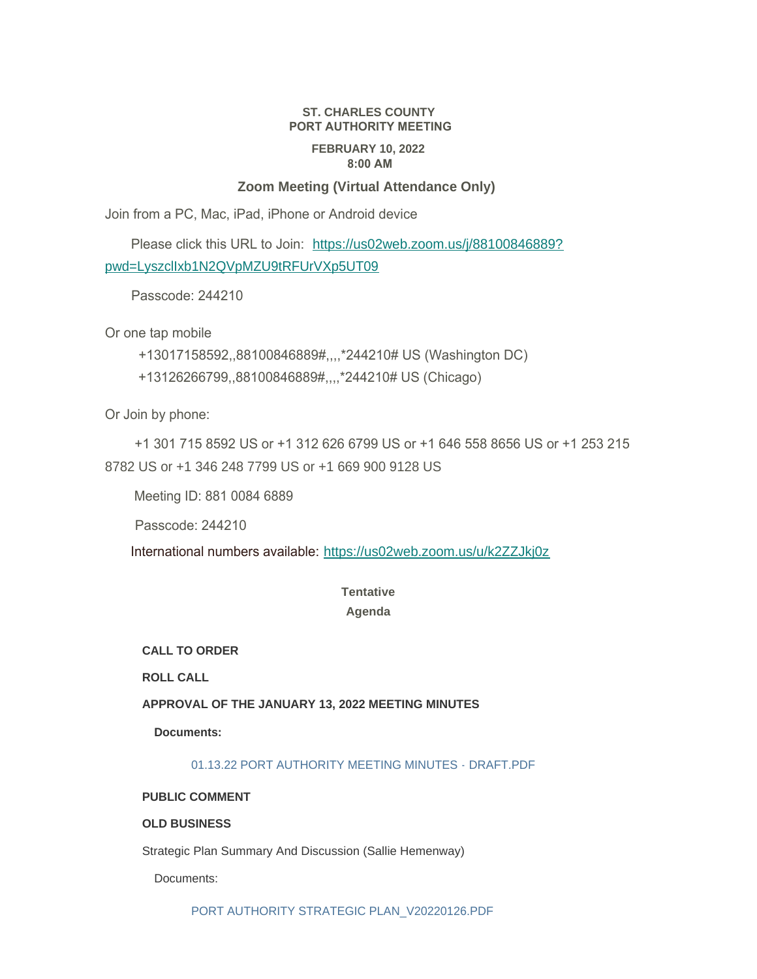# **ST. CHARLES COUNTY PORT AUTHORITY MEETING FEBRUARY 10, 2022 8:00 AM**

## **Zoom Meeting (Virtual Attendance Only)**

Join from a PC, Mac, iPad, iPhone or Android device

 Please click this URL to Join: [https://us02web.zoom.us/j/88100846889?](https://us02web.zoom.us/j/88100846889?pwd=LyszclIxb1N2QVpMZU9tRFUrVXp5UT09) pwd=LyszclIxb1N2QVpMZU9tRFUrVXp5UT09

Passcode: 244210

Or one tap mobile

+13017158592,,88100846889#,,,,\*244210# US (Washington DC)

+13126266799,,88100846889#,,,,\*244210# US (Chicago)

Or Join by phone:

 +1 301 715 8592 US or +1 312 626 6799 US or +1 646 558 8656 US or +1 253 215 8782 US or +1 346 248 7799 US or +1 669 900 9128 US

Meeting ID: 881 0084 6889

Passcode: 244210

International numbers available: <https://us02web.zoom.us/u/k2ZZJkj0z>

## **Tentative Agenda**

**CALL TO ORDER**

**ROLL CALL**

**APPROVAL OF THE JANUARY 13, 2022 MEETING MINUTES**

**Documents:**

01.13.22 PORT AUTHORITY MEETING MINUTES - DRAFT PDF

#### **PUBLIC COMMENT**

## **OLD BUSINESS**

Strategic Plan Summary And Discussion (Sallie Hemenway)

Documents:

[PORT AUTHORITY STRATEGIC PLAN\\_V20220126.PDF](https://www.sccmo.org/AgendaCenter/ViewFile/Item/10564?fileID=31497)